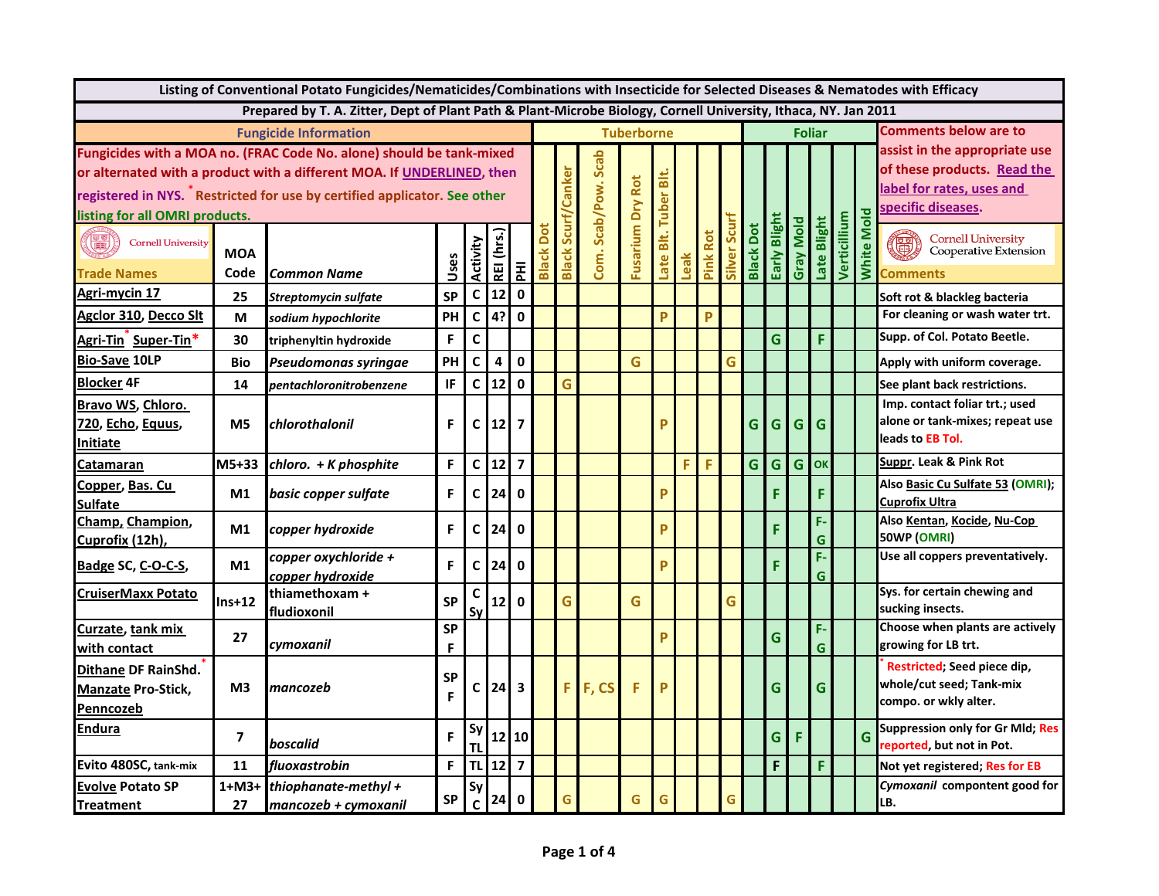| Listing of Conventional Potato Fungicides/Nematicides/Combinations with Insecticide for Selected Diseases & Nematodes with Efficacy                                                                                                                           |                    |                                                                                                                |                |              |                 |                         |                   |                     |                                    |                         |           |      |             |             |                  |              |           |             |                              |                             |                                                                                                                 |
|---------------------------------------------------------------------------------------------------------------------------------------------------------------------------------------------------------------------------------------------------------------|--------------------|----------------------------------------------------------------------------------------------------------------|----------------|--------------|-----------------|-------------------------|-------------------|---------------------|------------------------------------|-------------------------|-----------|------|-------------|-------------|------------------|--------------|-----------|-------------|------------------------------|-----------------------------|-----------------------------------------------------------------------------------------------------------------|
|                                                                                                                                                                                                                                                               |                    | Prepared by T. A. Zitter, Dept of Plant Path & Plant-Microbe Biology, Cornell University, Ithaca, NY. Jan 2011 |                |              |                 |                         |                   |                     |                                    |                         |           |      |             |             |                  |              |           |             |                              |                             |                                                                                                                 |
|                                                                                                                                                                                                                                                               |                    | <b>Fungicide Information</b>                                                                                   |                |              |                 |                         |                   |                     | <b>Tuberborne</b><br><b>Foliar</b> |                         |           |      |             |             |                  |              |           |             | <b>Comments below are to</b> |                             |                                                                                                                 |
| Fungicides with a MOA no. (FRAC Code No. alone) should be tank-mixed<br>or alternated with a product with a different MOA. If UNDERLINED, then<br>registered in NYS. TRestricted for use by certified applicator. See other<br>listing for all OMRI products. |                    |                                                                                                                |                |              |                 |                         |                   | anker               | Scab/Pow. Scab                     |                         | 줆<br>uber |      |             |             |                  |              |           |             |                              |                             | assist in the appropriate use<br>of these products. Read the<br>label for rates, uses and<br>specific diseases. |
| (B)<br><b>Cornell University</b><br><b>Trade Names</b>                                                                                                                                                                                                        | <b>MOA</b><br>Code | <b>Common Name</b>                                                                                             | Uses           | Activity     | REI (hrs.)      | 줄                       | ā<br><b>Black</b> | Scu<br><b>Black</b> | Com.                               | <b>Fusarium Dry Rot</b> | ate       | Leak | Rot<br>Pink | Silver Scur | <b>Black Dot</b> | Early Blight | Gray Mold | Late Blight | Verticillium                 | <b>Mold</b><br><b>White</b> | <b>Cornell University<br/>Cooperative Extension</b><br>Comments                                                 |
| Agri-mycin 17                                                                                                                                                                                                                                                 | 25                 | Streptomycin sulfate                                                                                           | <b>SP</b>      | $\mathsf{C}$ | 12              | $\mathbf 0$             |                   |                     |                                    |                         |           |      |             |             |                  |              |           |             |                              |                             | Soft rot & blackleg bacteria                                                                                    |
| Agclor 310, Decco Slt                                                                                                                                                                                                                                         | M                  | sodium hypochlorite                                                                                            | PH             | $\mathsf{C}$ | 4?              | $\mathbf{0}$            |                   |                     |                                    |                         | P         |      | P           |             |                  |              |           |             |                              |                             | For cleaning or wash water trt.                                                                                 |
| Agri-Tin Super-Tin*                                                                                                                                                                                                                                           | 30                 | triphenyltin hydroxide                                                                                         | F              | $\mathbf c$  |                 |                         |                   |                     |                                    |                         |           |      |             |             |                  | Ġ            |           | F           |                              |                             | Supp. of Col. Potato Beetle.                                                                                    |
| <b>Bio-Save 10LP</b>                                                                                                                                                                                                                                          | <b>Bio</b>         | Pseudomonas syringae                                                                                           | PH             | $\mathsf{C}$ | $\overline{a}$  | $\mathbf{0}$            |                   |                     |                                    | G                       |           |      |             | G           |                  |              |           |             |                              |                             | Apply with uniform coverage.                                                                                    |
| <b>Blocker 4F</b>                                                                                                                                                                                                                                             | 14                 | pentachloronitrobenzene                                                                                        | IF             | $\mathsf{C}$ | 12              | $\mathbf 0$             |                   | G                   |                                    |                         |           |      |             |             |                  |              |           |             |                              |                             | See plant back restrictions.                                                                                    |
| Bravo WS, Chloro.<br>720, Echo, Equus,<br><b>Initiate</b>                                                                                                                                                                                                     | M <sub>5</sub>     | chlorothalonil                                                                                                 | F              | C            | 12 <sup>1</sup> | $\overline{7}$          |                   |                     |                                    |                         |           |      |             |             | G                | G            | G         | G           |                              |                             | Imp. contact foliar trt.; used<br>alone or tank-mixes; repeat use<br>leads to EB Tol.                           |
| Catamaran                                                                                                                                                                                                                                                     | M5+33              | chloro. + K phosphite                                                                                          | F              | $\mathsf{C}$ | 12              | $\overline{7}$          |                   |                     |                                    |                         |           | F    | F           |             | G                | G            | G         | OK          |                              |                             | Suppr. Leak & Pink Rot                                                                                          |
| Copper, Bas. Cu<br><b>Sulfate</b>                                                                                                                                                                                                                             | M1                 | basic copper sulfate                                                                                           | F              | C            | 24              | $\mathbf{0}$            |                   |                     |                                    |                         | P         |      |             |             |                  | F            |           | F           |                              |                             | Also Basic Cu Sulfate 53 (OMRI);<br>Cuprofix Ultra                                                              |
| Champ, Champion,<br>Cuprofix (12h),                                                                                                                                                                                                                           | M1                 | copper hydroxide                                                                                               | F              | С            | 24              | $\mathbf 0$             |                   |                     |                                    |                         | P         |      |             |             |                  | F            |           | F-<br>G     |                              |                             | Also Kentan, Kocide, Nu-Cop<br>50WP (OMRI)                                                                      |
| Badge SC, C-O-C-S,                                                                                                                                                                                                                                            | M1                 | copper oxychloride +<br>copper hydroxide                                                                       | F              | С            | 24              | $\mathbf 0$             |                   |                     |                                    |                         | P         |      |             |             |                  | F            |           | F-<br>G     |                              |                             | Use all coppers preventatively.                                                                                 |
| <b>CruiserMaxx Potato</b>                                                                                                                                                                                                                                     | $Ins+12$           | thiamethoxam +<br>fludioxonil                                                                                  | <b>SP</b>      | Sν           | 12              | $\mathbf{0}$            |                   | G                   |                                    | G                       |           |      |             | G           |                  |              |           |             |                              |                             | Sys. for certain chewing and<br>sucking insects.                                                                |
| Curzate, tank mix<br>with contact                                                                                                                                                                                                                             | 27                 | cymoxanil                                                                                                      | <b>SP</b><br>F |              |                 |                         |                   |                     |                                    |                         | P         |      |             |             |                  | Ġ            |           | F-<br>G.    |                              |                             | Choose when plants are actively<br>growing for LB trt.                                                          |
| Dithane DF RainShd.<br><b>Manzate Pro-Stick,</b><br>Penncozeb                                                                                                                                                                                                 | M <sub>3</sub>     | Imancozeb                                                                                                      | <b>SP</b><br>F | С            | 24              | $\overline{\mathbf{3}}$ |                   | F                   | F, CS                              | F                       | P         |      |             |             |                  | G            |           | G           |                              |                             | Restricted; Seed piece dip,<br>whole/cut seed; Tank-mix<br>compo. or wkly alter.                                |
| Endura                                                                                                                                                                                                                                                        | $\overline{7}$     | boscalid                                                                                                       | F              | Sν           |                 | $12$   10               |                   |                     |                                    |                         |           |      |             |             |                  | G            | F         |             |                              | G                           | <b>Suppression only for Gr Mld; Res</b><br>reported, but not in Pot.                                            |
| Evito 480SC, tank-mix                                                                                                                                                                                                                                         | 11                 | fluoxastrobin                                                                                                  | F              | <b>TL</b>    | $12$            | $\overline{\mathbf{z}}$ |                   |                     |                                    |                         |           |      |             |             |                  | F            |           | F           |                              |                             | Not yet registered; Res for EB                                                                                  |
| <b>Evolve Potato SP</b><br><b>Treatment</b>                                                                                                                                                                                                                   | 1+M3+<br>27        | thiophanate-methyl +<br>mancozeb + cymoxanil                                                                   | <b>SP</b>      | Sy<br>C      | 24              | $\mathbf 0$             |                   | G                   |                                    | G                       |           |      |             | G           |                  |              |           |             |                              |                             | Cymoxanil compontent good for<br>LB.                                                                            |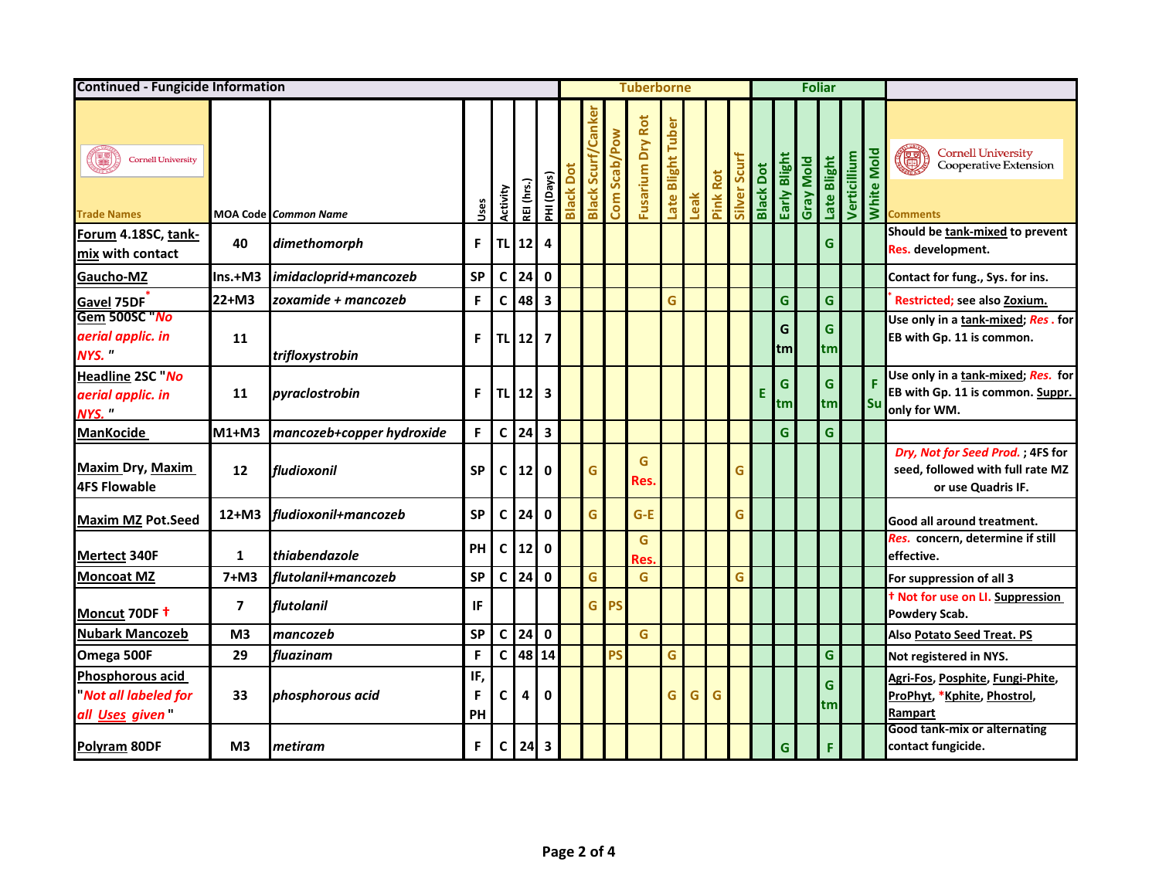| <b>Continued - Fungicide Information</b>                                       |                         |                             |                | <b>Tuberborne</b> |                 |                         |                  |                             |              |                         | <b>Foliar</b>               |      |             |              |                  |              |           |              |              |               |                                                                                            |
|--------------------------------------------------------------------------------|-------------------------|-----------------------------|----------------|-------------------|-----------------|-------------------------|------------------|-----------------------------|--------------|-------------------------|-----------------------------|------|-------------|--------------|------------------|--------------|-----------|--------------|--------------|---------------|--------------------------------------------------------------------------------------------|
| Q<br><b>Cornell University</b><br><b>Trade Names</b>                           |                         | <b>MOA Code Common Name</b> | Uses           | Activity          | REI (hrs.)      | PHI (Days)              | <b>Black Dot</b> | <b>Scur</b><br><b>Black</b> | Com Scab/Pow | <b>Fusarium Dry Rot</b> | <b>Blight Tuber</b><br>Late | Leak | Rot<br>Pink | Silver Scurt | <b>Black Dot</b> | Early Blight | Gray Mold | Late Blight  | Verticillium | Mold<br>White | <b>Cornell University<br/>Cooperative Extension</b><br>调<br><b>Comments</b>                |
| Forum 4.18SC, tank-<br>mix with contact                                        | 40                      | dimethomorph                | F.             | TL                | 12              | 4                       |                  |                             |              |                         |                             |      |             |              |                  |              |           | G            |              |               | Should be tank-mixed to prevent<br>Res. development.                                       |
| Gaucho-MZ                                                                      | $Ins.+M3$               | imidacloprid+mancozeb       | <b>SP</b>      |                   | $C$   24        | $\mathbf 0$             |                  |                             |              |                         |                             |      |             |              |                  |              |           |              |              |               | Contact for fung., Sys. for ins.                                                           |
| Gavel 75DF                                                                     | $22+M3$                 | zoxamide + mancozeb         | F              | C                 | 48              | $\overline{\mathbf{3}}$ |                  |                             |              |                         | Ġ                           |      |             |              |                  | G            |           | G            |              |               | Restricted; see also Zoxium.                                                               |
| Gem 500SC No<br>aerial applic. in<br>NYS."                                     | 11                      | trifloxystrobin             | F.             |                   | TL 12           | $\overline{\mathbf{z}}$ |                  |                             |              |                         |                             |      |             |              |                  | G<br>tm      |           | G<br>tml     |              |               | Use only in a tank-mixed; Res. for<br>EB with Gp. 11 is common.                            |
| <b>Headline 2SC No</b><br>aerial applic. in<br>NYS."                           | 11                      | pyraclostrobin              | F              |                   | TL 12           | $\overline{\mathbf{3}}$ |                  |                             |              |                         |                             |      |             |              | Е                | G<br>tml     |           | G<br>tm      |              | Su            | Use only in a tank-mixed; Res. for<br>EB with Gp. 11 is common. Suppr.<br>only for WM.     |
| <b>ManKocide</b>                                                               | $M1+M3$                 | mancozeb+copper hydroxide   | F              |                   | $C$ 24          | $\overline{\mathbf{3}}$ |                  |                             |              |                         |                             |      |             |              |                  | G            |           | $\mathsf{G}$ |              |               |                                                                                            |
| <b>Maxim Dry, Maxim</b><br><b>4FS Flowable</b>                                 | 12                      | fludioxonil                 | <b>SP</b>      | C                 | 12 <sup>1</sup> | 0                       |                  | G                           |              | G<br>Res.               |                             |      |             | G            |                  |              |           |              |              |               | Dry, Not for Seed Prod.; 4FS for<br>seed, followed with full rate MZ<br>or use Quadris IF. |
| <b>Maxim MZ Pot.Seed</b>                                                       | $12+M3$                 | fludioxonil+mancozeb        | <b>SP</b>      | $\mathsf{C}$      | 24              | $\mathbf{0}$            |                  | G                           |              | $G-E$                   |                             |      |             | G            |                  |              |           |              |              |               | Good all around treatment.                                                                 |
| <b>Mertect 340F</b>                                                            | $\mathbf{1}$            | thiabendazole               | PH             | $\mathsf C$       | 12              | $\mathbf 0$             |                  |                             |              | G<br><b>Res</b>         |                             |      |             |              |                  |              |           |              |              |               | Res. concern, determine if still<br>effective.                                             |
| <b>Moncoat MZ</b>                                                              | $7+M3$                  | flutolanil+mancozeb         | <b>SP</b>      | $\mathsf{C}$      | 24              | $\mathbf 0$             |                  | G                           |              | G                       |                             |      |             | Ġ            |                  |              |           |              |              |               | For suppression of all 3                                                                   |
| Moncut 70DF +                                                                  | $\overline{\mathbf{z}}$ | flutolanil                  | <b>IF</b>      |                   |                 |                         |                  | G                           | <b>PS</b>    |                         |                             |      |             |              |                  |              |           |              |              |               | t Not for use on LI. Suppression<br>Powdery Scab.                                          |
| <b>Nubark Mancozeb</b>                                                         | M <sub>3</sub>          | mancozeb                    | <b>SP</b>      | C                 | 24              | $\mathbf 0$             |                  |                             |              | G                       |                             |      |             |              |                  |              |           |              |              |               | Also Potato Seed Treat. PS                                                                 |
| Omega 500F                                                                     | 29                      | fluazinam                   | F              | $\mathsf{C}$      | 48              | 14                      |                  |                             | PS           |                         | G                           |      |             |              |                  |              |           | G            |              |               | Not registered in NYS.                                                                     |
| <b>Phosphorous acid</b><br><b>Not all labeled for</b><br>all <u>Uses</u> given | 33                      | phosphorous acid            | IF,<br>F<br>PH | C                 | 4               | 0                       |                  |                             |              |                         | G                           | G    | G           |              |                  |              |           | G<br>tm      |              |               | Agri-Fos, Posphite, Fungi-Phite,<br>ProPhyt, *Kphite, Phostrol,<br>Rampart                 |
| Polyram 80DF                                                                   | M <sub>3</sub>          | metiram                     | F.             | C                 | 24              | 3                       |                  |                             |              |                         |                             |      |             |              |                  | G            |           | F            |              |               | Good tank-mix or alternating<br>contact fungicide.                                         |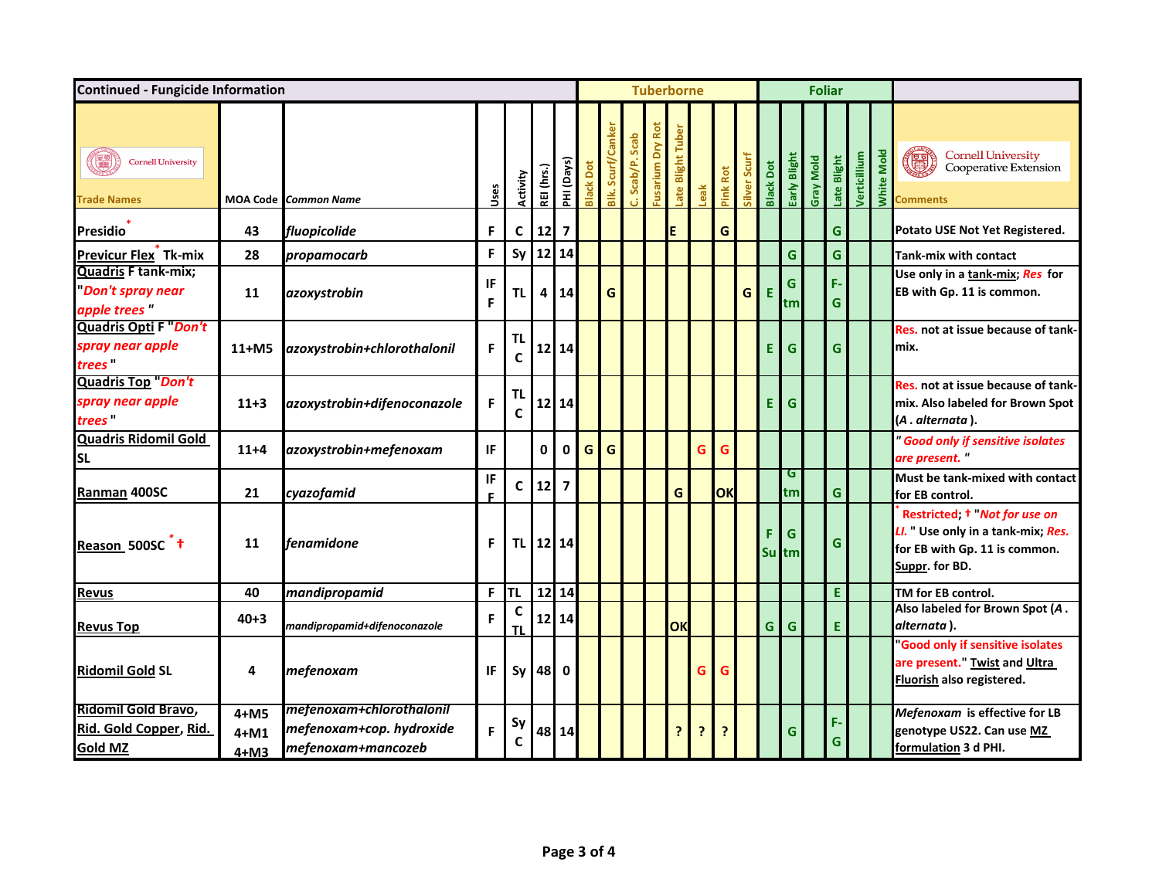| <b>Continued - Fungicide Information</b>                        |                          |                                                                            |          |          |              |                         |                  |             |                 | <b>Tuberborne</b>   |                 |     |          |                              |                  |                   |           | <b>Foliar</b> |              |            |                                                                                                                                  |
|-----------------------------------------------------------------|--------------------------|----------------------------------------------------------------------------|----------|----------|--------------|-------------------------|------------------|-------------|-----------------|---------------------|-----------------|-----|----------|------------------------------|------------------|-------------------|-----------|---------------|--------------|------------|----------------------------------------------------------------------------------------------------------------------------------|
| E<br><b>Cornell University</b><br><b>Trade Names</b>            |                          | <b>MOA Code Common Name</b>                                                | Uses     | Activity | REI (hrs.)   | PHI (Days)              | <b>Black Dot</b> | Blk. Scurf, | Scab<br>Scab/P. | Dry Rot<br>Fusarium | ate Blight Tube | eak | Pink Rot | Scurf<br>Silver <sub>s</sub> | <b>Black Dot</b> | Early Blight      | Gray Mold | ate Blight    | Verticillium | White Mold | <b>Cornell University<br/>Cooperative Extension</b><br>0<br>Comments                                                             |
| <b>Presidio</b>                                                 | 43                       | fluopicolide                                                               | F        | C        | 12           | $\overline{\mathbf{z}}$ |                  |             |                 |                     | E               |     | G        |                              |                  |                   |           | G             |              |            | Potato USE Not Yet Registered.                                                                                                   |
| Previcur Flex <sup>T</sup> Tk-mix                               | 28                       | propamocarb                                                                | F        | Sy       | 12           | 14                      |                  |             |                 |                     |                 |     |          |                              |                  | Ġ                 |           | G.            |              |            | <b>Tank-mix with contact</b>                                                                                                     |
| <b>Quadris F tank-mix;</b><br>Don't spray near<br>apple trees"  | 11                       | azoxystrobin                                                               | IF<br>F  | TL       | 4            | 14                      |                  | G           |                 |                     |                 |     |          | G                            | Е                | G<br>tm           |           | F.<br>G       |              |            | Use only in a tank-mix; Res for<br>EB with Gp. 11 is common.                                                                     |
| Quadris Opti F "Don't<br>spray near apple<br><i>trees</i>       | $11+M5$                  | azoxystrobin+chlorothalonil                                                | F        | TL<br>C  |              | $12$   14               |                  |             |                 |                     |                 |     |          |                              | F                | G                 |           | G.            |              |            | Res. not at issue because of tank-<br>lmix.                                                                                      |
| <b>Quadris Top Don't</b><br>spray near apple<br><i>trees</i>    | $11+3$                   | azoxystrobin+difenoconazole                                                | F        | TL<br>C  |              | $12$ 14                 |                  |             |                 |                     |                 |     |          |                              | F                | G                 |           |               |              |            | Res. not at issue because of tank-<br>mix. Also labeled for Brown Spot<br>(A . alternata ).                                      |
| <b>Quadris Ridomil Gold</b><br><b>SL</b>                        | $11+4$                   | azoxystrobin+mefenoxam                                                     | IF.      |          | $\mathbf{0}$ | 0                       | G                | G           |                 |                     |                 | G   | G        |                              |                  |                   |           |               |              |            | " Good only if sensitive isolates<br>are present."                                                                               |
| Ranman 400SC                                                    | 21                       | cyazofamid                                                                 | IF<br>E. | C        | 12           | $\overline{7}$          |                  |             |                 |                     | G               |     | OK       |                              |                  | G<br>tm           |           | G             |              |            | Must be tank-mixed with contact<br>for EB control.                                                                               |
| Reason 500SC <sup>+</sup>                                       | 11                       | fenamidone                                                                 | F        | TL       |              | $12$ 14                 |                  |             |                 |                     |                 |     |          |                              | F                | G<br><b>Su</b> tm |           | G             |              |            | Restricted; <sup>†</sup> Not for use on<br>LI. " Use only in a tank-mix; Res.<br>for EB with Gp. 11 is common.<br>Suppr. for BD. |
| <b>Revus</b>                                                    | 40                       | mandipropamid                                                              | F.       | TL       |              | $12$ 14                 |                  |             |                 |                     |                 |     |          |                              |                  |                   |           | E             |              |            | TM for EB control.                                                                                                               |
| <b>Revus Top</b>                                                | $40 + 3$                 | mandipropamid+difenoconazole                                               | F        | C<br>ΤI  |              | $12$   14               |                  |             |                 |                     | OK              |     |          |                              | G                | G                 |           | E             |              |            | Also labeled for Brown Spot (A.<br>alternata).                                                                                   |
| <b>Ridomil Gold SL</b>                                          | 4                        | mefenoxam                                                                  | IF       | Sy       | 48           | 0                       |                  |             |                 |                     |                 | G   | G        |                              |                  |                   |           |               |              |            | <b>Good only if sensitive isolates</b><br>are present." Twist and Ultra<br>Fluorish also registered.                             |
| Ridomil Gold Bravo,<br>Rid. Gold Copper, Rid.<br><b>Gold MZ</b> | $4+M5$<br>4+M1<br>$4+M3$ | mefenoxam+chlorothalonil<br>mefenoxam+cop. hydroxide<br>mefenoxam+mancozeb | F        | Sy<br>C  |              | 48 14                   |                  |             |                 |                     | 7               | 7   |          |                              |                  | G                 |           | F.<br>G       |              |            | Mefenoxam is effective for LB<br>genotype US22. Can use MZ<br>formulation 3 d PHI.                                               |